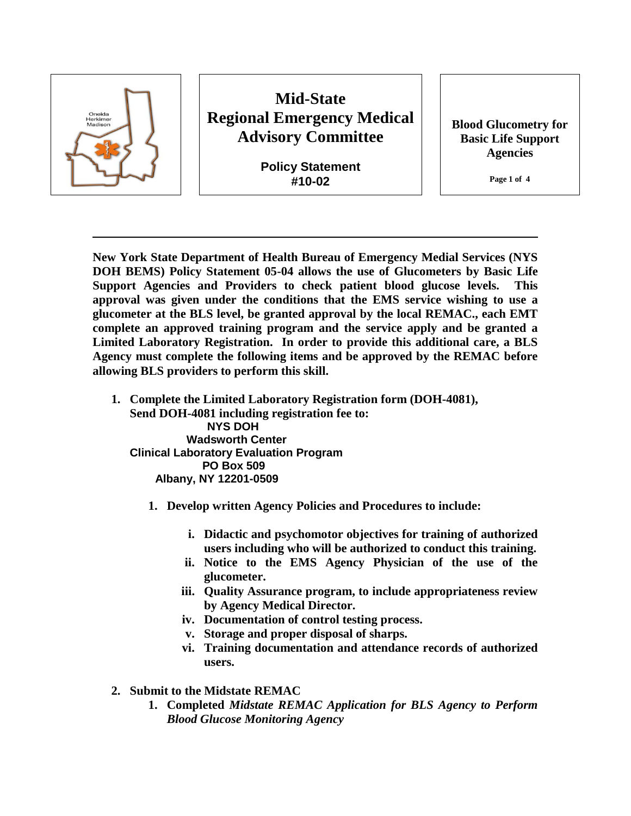

# **Mid-State Regional Emergency Medical Advisory Committee**

**Policy Statement #10-02**

**Blood Glucometry for Basic Life Support Agencies** 

**Page 1 of 4**

**New York State Department of Health Bureau of Emergency Medial Services (NYS DOH BEMS) Policy Statement 05-04 allows the use of Glucometers by Basic Life Support Agencies and Providers to check patient blood glucose levels. This approval was given under the conditions that the EMS service wishing to use a glucometer at the BLS level, be granted approval by the local REMAC., each EMT complete an approved training program and the service apply and be granted a Limited Laboratory Registration. In order to provide this additional care, a BLS Agency must complete the following items and be approved by the REMAC before allowing BLS providers to perform this skill.** 

- **1. Complete the Limited Laboratory Registration form (DOH-4081), Send DOH-4081 including registration fee to: NYS DOH Wadsworth Center Clinical Laboratory Evaluation Program PO Box 509 Albany, NY 12201-0509**
	- **1. Develop written Agency Policies and Procedures to include:**
		- **i. Didactic and psychomotor objectives for training of authorized users including who will be authorized to conduct this training.**
		- **ii. Notice to the EMS Agency Physician of the use of the glucometer.**
		- **iii. Quality Assurance program, to include appropriateness review by Agency Medical Director.**
		- **iv. Documentation of control testing process.**
		- **v. Storage and proper disposal of sharps.**
		- **vi. Training documentation and attendance records of authorized users.**
- **2. Submit to the Midstate REMAC** 
	- **1. Completed** *Midstate REMAC Application for BLS Agency to Perform Blood Glucose Monitoring Agency*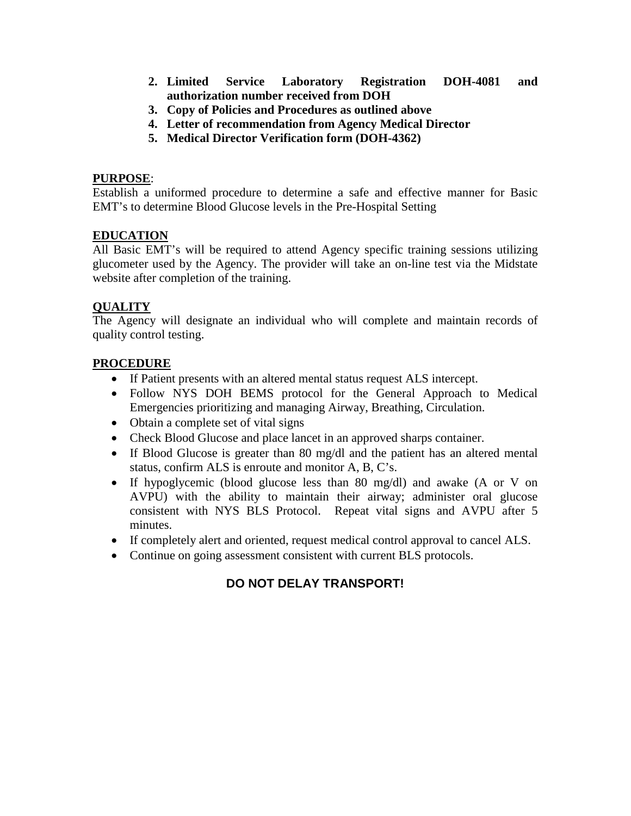- **2. Limited Service Laboratory Registration DOH-4081 and authorization number received from DOH**
- **3. Copy of Policies and Procedures as outlined above**
- **4. Letter of recommendation from Agency Medical Director**
- **5. Medical Director Verification form (DOH-4362)**

#### **PURPOSE**:

Establish a uniformed procedure to determine a safe and effective manner for Basic EMT's to determine Blood Glucose levels in the Pre-Hospital Setting

#### **EDUCATION**

All Basic EMT's will be required to attend Agency specific training sessions utilizing glucometer used by the Agency. The provider will take an on-line test via the Midstate website after completion of the training.

#### **QUALITY**

The Agency will designate an individual who will complete and maintain records of quality control testing.

#### **PROCEDURE**

- If Patient presents with an altered mental status request ALS intercept.
- Follow NYS DOH BEMS protocol for the General Approach to Medical Emergencies prioritizing and managing Airway, Breathing, Circulation.
- Obtain a complete set of vital signs
- Check Blood Glucose and place lancet in an approved sharps container.
- If Blood Glucose is greater than 80 mg/dl and the patient has an altered mental status, confirm ALS is enroute and monitor A, B, C's.
- If hypoglycemic (blood glucose less than 80 mg/dl) and awake (A or V on AVPU) with the ability to maintain their airway; administer oral glucose consistent with NYS BLS Protocol. Repeat vital signs and AVPU after 5 minutes.
- If completely alert and oriented, request medical control approval to cancel ALS.
- Continue on going assessment consistent with current BLS protocols.

### **DO NOT DELAY TRANSPORT!**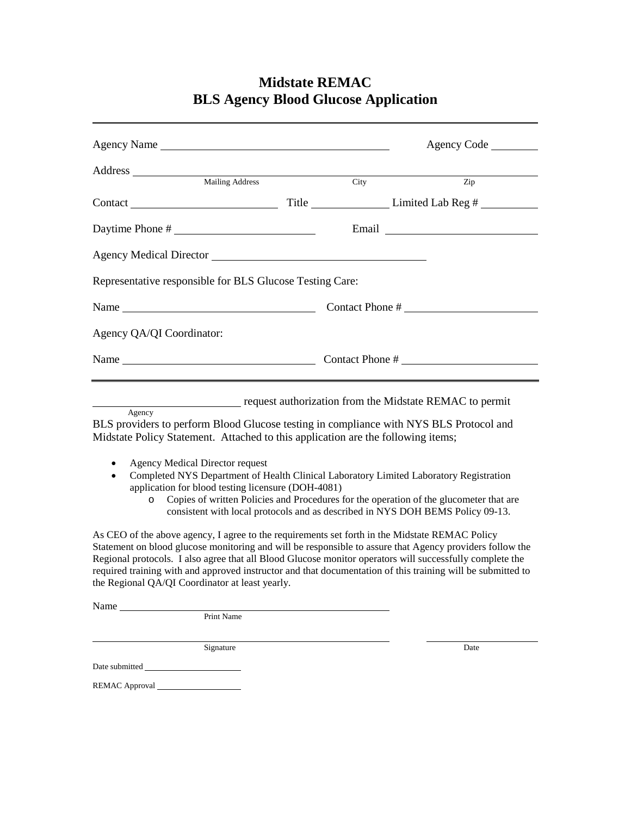# **Midstate REMAC BLS Agency Blood Glucose Application**

|                                                                                                                                                                                                                                                                                                                                                                                                                                                                                          |      | Agency Code                                                                                                                                                              |  |  |
|------------------------------------------------------------------------------------------------------------------------------------------------------------------------------------------------------------------------------------------------------------------------------------------------------------------------------------------------------------------------------------------------------------------------------------------------------------------------------------------|------|--------------------------------------------------------------------------------------------------------------------------------------------------------------------------|--|--|
|                                                                                                                                                                                                                                                                                                                                                                                                                                                                                          |      |                                                                                                                                                                          |  |  |
|                                                                                                                                                                                                                                                                                                                                                                                                                                                                                          | City | $\overline{Zip}$                                                                                                                                                         |  |  |
|                                                                                                                                                                                                                                                                                                                                                                                                                                                                                          |      |                                                                                                                                                                          |  |  |
| Daytime Phone #                                                                                                                                                                                                                                                                                                                                                                                                                                                                          |      |                                                                                                                                                                          |  |  |
| Agency Medical Director                                                                                                                                                                                                                                                                                                                                                                                                                                                                  |      |                                                                                                                                                                          |  |  |
| Representative responsible for BLS Glucose Testing Care:                                                                                                                                                                                                                                                                                                                                                                                                                                 |      |                                                                                                                                                                          |  |  |
| Name Name                                                                                                                                                                                                                                                                                                                                                                                                                                                                                |      | Contact Phone #                                                                                                                                                          |  |  |
| Agency QA/QI Coordinator:                                                                                                                                                                                                                                                                                                                                                                                                                                                                |      |                                                                                                                                                                          |  |  |
|                                                                                                                                                                                                                                                                                                                                                                                                                                                                                          |      |                                                                                                                                                                          |  |  |
|                                                                                                                                                                                                                                                                                                                                                                                                                                                                                          |      |                                                                                                                                                                          |  |  |
|                                                                                                                                                                                                                                                                                                                                                                                                                                                                                          |      | request authorization from the Midstate REMAC to permit                                                                                                                  |  |  |
| Agency<br>BLS providers to perform Blood Glucose testing in compliance with NYS BLS Protocol and<br>Midstate Policy Statement. Attached to this application are the following items;                                                                                                                                                                                                                                                                                                     |      |                                                                                                                                                                          |  |  |
| <b>Agency Medical Director request</b><br>$\bullet$<br>Completed NYS Department of Health Clinical Laboratory Limited Laboratory Registration<br>application for blood testing licensure (DOH-4081)<br>$\circ$                                                                                                                                                                                                                                                                           |      | Copies of written Policies and Procedures for the operation of the glucometer that are<br>consistent with local protocols and as described in NYS DOH BEMS Policy 09-13. |  |  |
| As CEO of the above agency, I agree to the requirements set forth in the Midstate REMAC Policy<br>Statement on blood glucose monitoring and will be responsible to assure that Agency providers follow the<br>Regional protocols. I also agree that all Blood Glucose monitor operators will successfully complete the<br>required training with and approved instructor and that documentation of this training will be submitted to<br>the Regional QA/QI Coordinator at least yearly. |      |                                                                                                                                                                          |  |  |

Name

Date submitted

Print Name

Signature Date

REMAC Approval